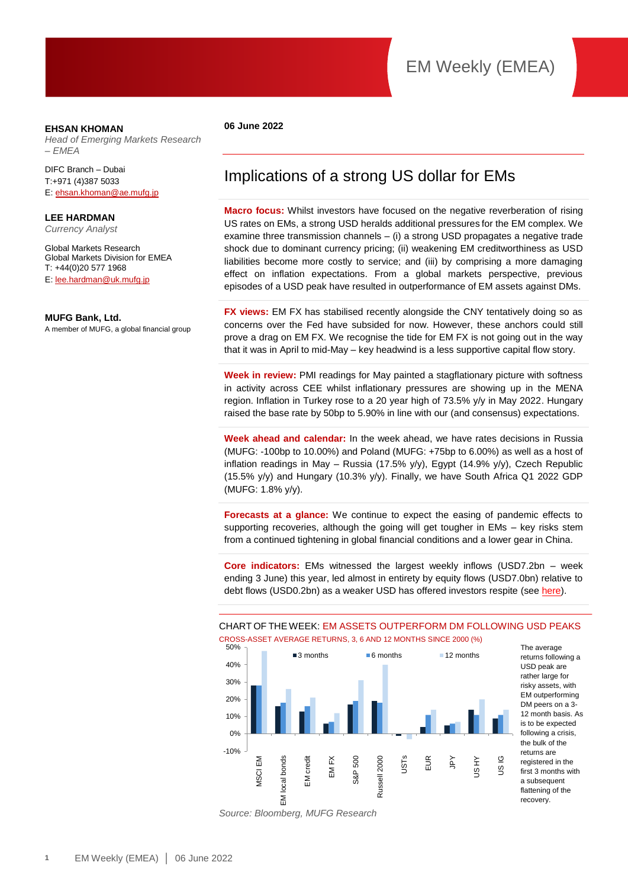#### **EHSAN KHOMAN**

*Head of Emerging Markets Research – EMEA* 

DIFC Branch – Dubai T:+971 (4)387 5033 E[: ehsan.khoman@ae.mufg.jp](mailto:ehsan.khoman@ae.mufg.jp)

**LEE HARDMAN** *Currency Analyst*

Global Markets Research Global Markets Division for EMEA T: +44(0)20 577 1968 E[: lee.hardman@uk.mufg.jp](mailto:lee.hardman@uk.mufg.jp)

#### **MUFG Bank, Ltd.**

A member of MUFG, a global financial group

#### **06 June 2022**

### Implications of a strong US dollar for EMs

**Macro focus:** Whilst investors have focused on the negative reverberation of rising US rates on EMs, a strong USD heralds additional pressures for the EM complex. We examine three transmission channels – (i) a strong USD propagates a negative trade shock due to dominant currency pricing; (ii) weakening EM creditworthiness as USD liabilities become more costly to service; and (iii) by comprising a more damaging effect on inflation expectations. From a global markets perspective, previous episodes of a USD peak have resulted in outperformance of EM assets against DMs.

**FX views:** EM FX has stabilised recently alongside the CNY tentatively doing so as concerns over the Fed have subsided for now. However, these anchors could still prove a drag on EM FX. We recognise the tide for EM FX is not going out in the way that it was in April to mid-May – key headwind is a less supportive capital flow story.

**Week in review:** PMI readings for May painted a stagflationary picture with softness in activity across CEE whilst inflationary pressures are showing up in the MENA region. Inflation in Turkey rose to a 20 year high of 73.5% y/y in May 2022. Hungary raised the base rate by 50bp to 5.90% in line with our (and consensus) expectations.

**Week ahead and calendar:** In the week ahead, we have rates decisions in Russia (MUFG: -100bp to 10.00%) and Poland (MUFG: +75bp to 6.00%) as well as a host of inflation readings in May – Russia (17.5% y/y), Egypt (14.9% y/y), Czech Republic (15.5% y/y) and Hungary (10.3% y/y). Finally, we have South Africa Q1 2022 GDP (MUFG: 1.8% y/y).

**Forecasts at a glance:** We continue to expect the easing of pandemic effects to supporting recoveries, although the going will get tougher in EMs – key risks stem from a continued tightening in global financial conditions and a lower gear in China.

**Core indicators:** EMs witnessed the largest weekly inflows (USD7.2bn – week ending 3 June) this year, led almost in entirety by equity flows (USD7.0bn) relative to debt flows (USD0.2bn) as a weaker USD has offered investors respite (see [here\)](https://market-research.bk.mufg.jp/distribution/47256_ext_01_en_0.pdf).

CHART OF THE WEEK: EM ASSETS OUTPERFORM DM FOLLOWING USD PEAKS CROSS-ASSET AVERAGE RETURNS, 3, 6 AND 12 MONTHS SINCE 2000 (%)



The average returns following a USD peak are rather large for risky assets, with EM outperforming DM peers on a 3- 12 month basis. As is to be expected following a crisis, the bulk of the returns are registered in the first 3 months with a subsequent flattening of the recovery.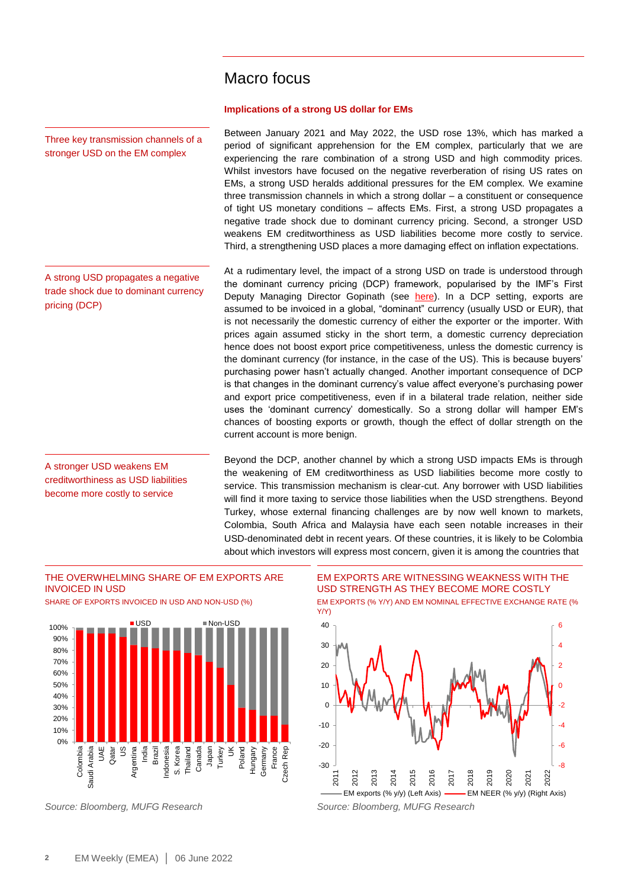### Macro focus

#### **Implications of a strong US dollar for EMs**

Between January 2021 and May 2022, the USD rose 13%, which has marked a period of significant apprehension for the EM complex, particularly that we are experiencing the rare combination of a strong USD and high commodity prices. Whilst investors have focused on the negative reverberation of rising US rates on EMs, a strong USD heralds additional pressures for the EM complex. We examine three transmission channels in which a strong dollar – a constituent or consequence of tight US monetary conditions – affects EMs. First, a strong USD propagates a negative trade shock due to dominant currency pricing. Second, a stronger USD weakens EM creditworthiness as USD liabilities become more costly to service. Third, a strengthening USD places a more damaging effect on inflation expectations.

At a rudimentary level, the impact of a strong USD on trade is understood through the dominant currency pricing (DCP) framework, popularised by the IMF's First Deputy Managing Director Gopinath (see [here\)](https://market-research.bk.mufg.jp/distribution/44587_ext_01_en_0.pdf). In a DCP setting, exports are assumed to be invoiced in a global, "dominant" currency (usually USD or EUR), that is not necessarily the domestic currency of either the exporter or the importer. With prices again assumed sticky in the short term, a domestic currency depreciation hence does not boost export price competitiveness, unless the domestic currency is the dominant currency (for instance, in the case of the US). This is because buyers' purchasing power hasn't actually changed. Another important consequence of DCP is that changes in the dominant currency's value affect everyone's purchasing power and export price competitiveness, even if in a bilateral trade relation, neither side uses the 'dominant currency' domestically. So a strong dollar will hamper EM's chances of boosting exports or growth, though the effect of dollar strength on the current account is more benign.

Beyond the DCP, another channel by which a strong USD impacts EMs is through the weakening of EM creditworthiness as USD liabilities become more costly to service. This transmission mechanism is clear-cut. Any borrower with USD liabilities will find it more taxing to service those liabilities when the USD strengthens. Beyond Turkey, whose external financing challenges are by now well known to markets, Colombia, South Africa and Malaysia have each seen notable increases in their USD-denominated debt in recent years. Of these countries, it is likely to be Colombia about which investors will express most concern, given it is among the countries that

#### THE OVERWHELMING SHARE OF EM EXPORTS ARE INVOICED IN USD





EM EXPORTS ARE WITNESSING WEAKNESS WITH THE USD STRENGTH AS THEY BECOME MORE COSTLY





A strong USD propagates a negative

Three key transmission channels of a stronger USD on the EM complex

trade shock due to dominant currency pricing (DCP)

A stronger USD weakens EM creditworthiness as USD liabilities become more costly to service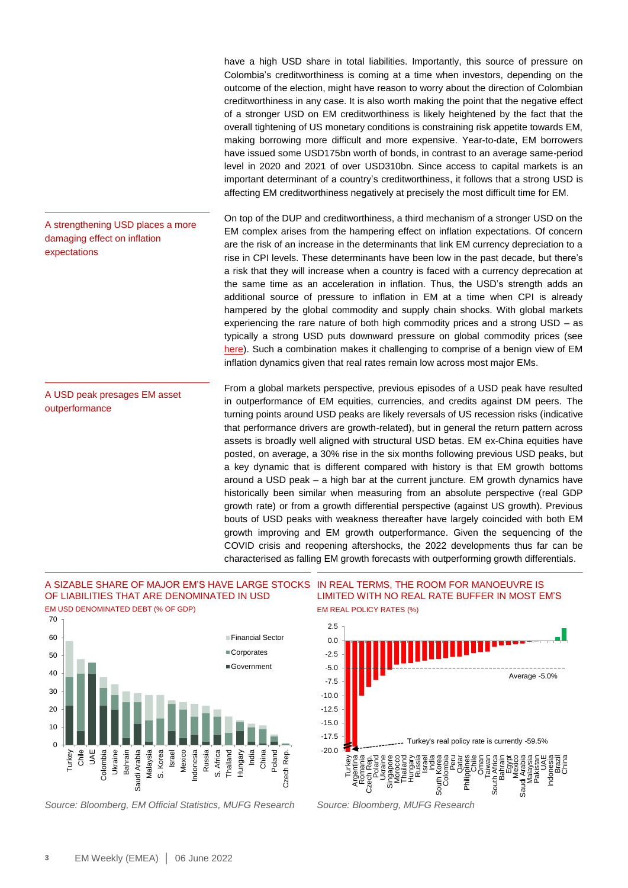have a high USD share in total liabilities. Importantly, this source of pressure on Colombia's creditworthiness is coming at a time when investors, depending on the outcome of the election, might have reason to worry about the direction of Colombian creditworthiness in any case. It is also worth making the point that the negative effect of a stronger USD on EM creditworthiness is likely heightened by the fact that the overall tightening of US monetary conditions is constraining risk appetite towards EM, making borrowing more difficult and more expensive. Year-to-date, EM borrowers have issued some USD175bn worth of bonds, in contrast to an average same-period level in 2020 and 2021 of over USD310bn. Since access to capital markets is an important determinant of a country's creditworthiness, it follows that a strong USD is affecting EM creditworthiness negatively at precisely the most difficult time for EM.

On top of the DUP and creditworthiness, a third mechanism of a stronger USD on the EM complex arises from the hampering effect on inflation expectations. Of concern are the risk of an increase in the determinants that link EM currency depreciation to a rise in CPI levels. These determinants have been low in the past decade, but there's a risk that they will increase when a country is faced with a currency deprecation at the same time as an acceleration in inflation. Thus, the USD's strength adds an additional source of pressure to inflation in EM at a time when CPI is already hampered by the global commodity and supply chain shocks. With global markets experiencing the rare nature of both high commodity prices and a strong USD – as typically a strong USD puts downward pressure on global commodity prices (see [here\)](https://market-research.bk.mufg.jp/distribution/48199_ext_01_en_0.pdf). Such a combination makes it challenging to comprise of a benign view of EM inflation dynamics given that real rates remain low across most major EMs. A strengthening USD places a more

A USD peak presages EM asset outperformance

damaging effect on inflation

expectations

From a global markets perspective, previous episodes of a USD peak have resulted in outperformance of EM equities, currencies, and credits against DM peers. The turning points around USD peaks are likely reversals of US recession risks (indicative that performance drivers are growth-related), but in general the return pattern across assets is broadly well aligned with structural USD betas. EM ex-China equities have posted, on average, a 30% rise in the six months following previous USD peaks, but a key dynamic that is different compared with history is that EM growth bottoms around a USD peak – a high bar at the current juncture. EM growth dynamics have historically been similar when measuring from an absolute perspective (real GDP growth rate) or from a growth differential perspective (against US growth). Previous bouts of USD peaks with weakness thereafter have largely coincided with both EM growth improving and EM growth outperformance. Given the sequencing of the COVID crisis and reopening aftershocks, the 2022 developments thus far can be characterised as falling EM growth forecasts with outperforming growth differentials.

#### A SIZABLE SHARE OF MAJOR EM'S HAVE LARGE STOCKS IN REAL TERMS, THE ROOM FOR MANOEUVRE IS OF LIABILITIES THAT ARE DENOMINATED IN USD EM USD DENOMINATED DEBT (% OF GDP)



*Source: Bloomberg, EM Official Statistics, MUFG Research Source: Bloomberg, MUFG Research*

LIMITED WITH NO REAL RATE BUFFER IN MOST EM'S EM REAL POLICY RATES (%)

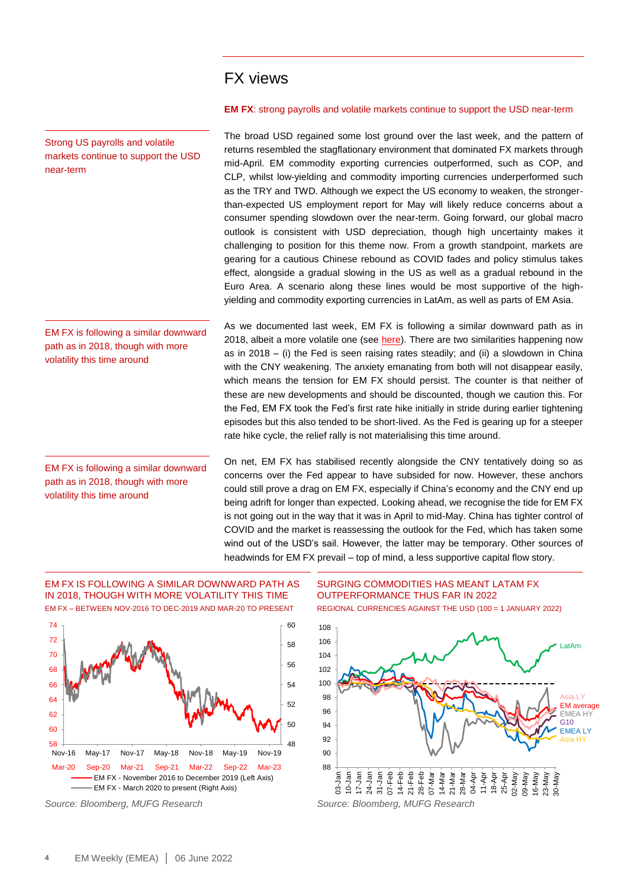### FX views

#### Strong US payrolls and volatile markets continue to support the USD near-term

EM FX is following a similar downward path as in 2018, though with more volatility this time around

EM FX is following a similar downward path as in 2018, though with more volatility this time around

#### **EM FX**: strong payrolls and volatile markets continue to support the USD near-term

The broad USD regained some lost ground over the last week, and the pattern of returns resembled the stagflationary environment that dominated FX markets through mid-April. EM commodity exporting currencies outperformed, such as COP, and CLP, whilst low-yielding and commodity importing currencies underperformed such as the TRY and TWD. Although we expect the US economy to weaken, the strongerthan-expected US employment report for May will likely reduce concerns about a consumer spending slowdown over the near-term. Going forward, our global macro outlook is consistent with USD depreciation, though high uncertainty makes it challenging to position for this theme now. From a growth standpoint, markets are gearing for a cautious Chinese rebound as COVID fades and policy stimulus takes effect, alongside a gradual slowing in the US as well as a gradual rebound in the Euro Area. A scenario along these lines would be most supportive of the highyielding and commodity exporting currencies in LatAm, as well as parts of EM Asia.

As we documented last week, EM FX is following a similar downward path as in 2018, albeit a more volatile one (see [here\)](https://market-research.bk.mufg.jp/distribution/48278_ext_01_en_0.pdf). There are two similarities happening now as in 2018 – (i) the Fed is seen raising rates steadily; and (ii) a slowdown in China with the CNY weakening. The anxiety emanating from both will not disappear easily, which means the tension for EM FX should persist. The counter is that neither of these are new developments and should be discounted, though we caution this. For the Fed, EM FX took the Fed's first rate hike initially in stride during earlier tightening episodes but this also tended to be short-lived. As the Fed is gearing up for a steeper rate hike cycle, the relief rally is not materialising this time around.

On net, EM FX has stabilised recently alongside the CNY tentatively doing so as concerns over the Fed appear to have subsided for now. However, these anchors could still prove a drag on EM FX, especially if China's economy and the CNY end up being adrift for longer than expected. Looking ahead, we recognise the tide for EM FX is not going out in the way that it was in April to mid-May. China has tighter control of COVID and the market is reassessing the outlook for the Fed, which has taken some wind out of the USD's sail. However, the latter may be temporary. Other sources of headwinds for EM FX prevail – top of mind, a less supportive capital flow story.

#### EM FX IS FOLLOWING A SIMILAR DOWNWARD PATH AS IN 2018, THOUGH WITH MORE VOLATILITY THIS TIME EM FX – BETWEEN NOV-2016 TO DEC-2019 AND MAR-20 TO PRESENT



#### SURGING COMMODITIES HAS MEANT LATAM FX OUTPERFORMANCE THUS FAR IN 2022 REGIONAL CURRENCIES AGAINST THE USD (100 = 1 JANUARY 2022)

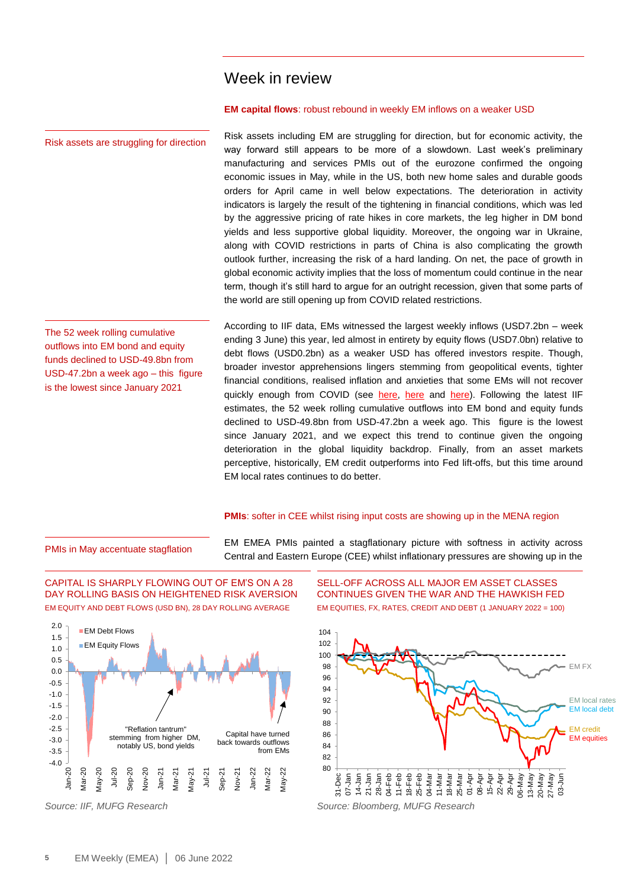### Week in review

#### **EM capital flows**: robust rebound in weekly EM inflows on a weaker USD

Risk assets including EM are struggling for direction, but for economic activity, the way forward still appears to be more of a slowdown. Last week's preliminary manufacturing and services PMIs out of the eurozone confirmed the ongoing economic issues in May, while in the US, both new home sales and durable goods orders for April came in well below expectations. The deterioration in activity indicators is largely the result of the tightening in financial conditions, which was led by the aggressive pricing of rate hikes in core markets, the leg higher in DM bond yields and less supportive global liquidity. Moreover, the ongoing war in Ukraine, along with COVID restrictions in parts of China is also complicating the growth outlook further, increasing the risk of a hard landing. On net, the pace of growth in global economic activity implies that the loss of momentum could continue in the near term, though it's still hard to argue for an outright recession, given that some parts of the world are still opening up from COVID related restrictions.

The 52 week rolling cumulative outflows into EM bond and equity funds declined to USD-49.8bn from USD-47.2bn a week ago – this figure is the lowest since January 2021

Risk assets are struggling for direction

According to IIF data, EMs witnessed the largest weekly inflows (USD7.2bn – week ending 3 June) this year, led almost in entirety by equity flows (USD7.0bn) relative to debt flows (USD0.2bn) as a weaker USD has offered investors respite. Though, broader investor apprehensions lingers stemming from geopolitical events, tighter financial conditions, realised inflation and anxieties that some EMs will not recover quickly enough from COVID (see [here,](https://market-research.bk.mufg.jp/distribution/47115_ext_01_en_0.pdf) [here](https://market-research.bk.mufg.jp/distribution/47111_ext_01_en_0.pdf) and [here\)](https://market-research.bk.mufg.jp/distribution/47177_ext_01_en_0.pdf). Following the latest IIF estimates, the 52 week rolling cumulative outflows into EM bond and equity funds declined to USD-49.8bn from USD-47.2bn a week ago. This figure is the lowest since January 2021, and we expect this trend to continue given the ongoing deterioration in the global liquidity backdrop. Finally, from an asset markets perceptive, historically, EM credit outperforms into Fed lift-offs, but this time around EM local rates continues to do better.

#### **PMIs:** softer in CEE whilst rising input costs are showing up in the MENA region

#### PMIs in May accentuate stagflation

EM EMEA PMIs painted a stagflationary picture with softness in activity across Central and Eastern Europe (CEE) whilst inflationary pressures are showing up in the





SELL-OFF ACROSS ALL MAJOR EM ASSET CLASSES CONTINUES GIVEN THE WAR AND THE HAWKISH FED EM EQUITIES, FX, RATES, CREDIT AND DEBT (1 JANUARY 2022 = 100)

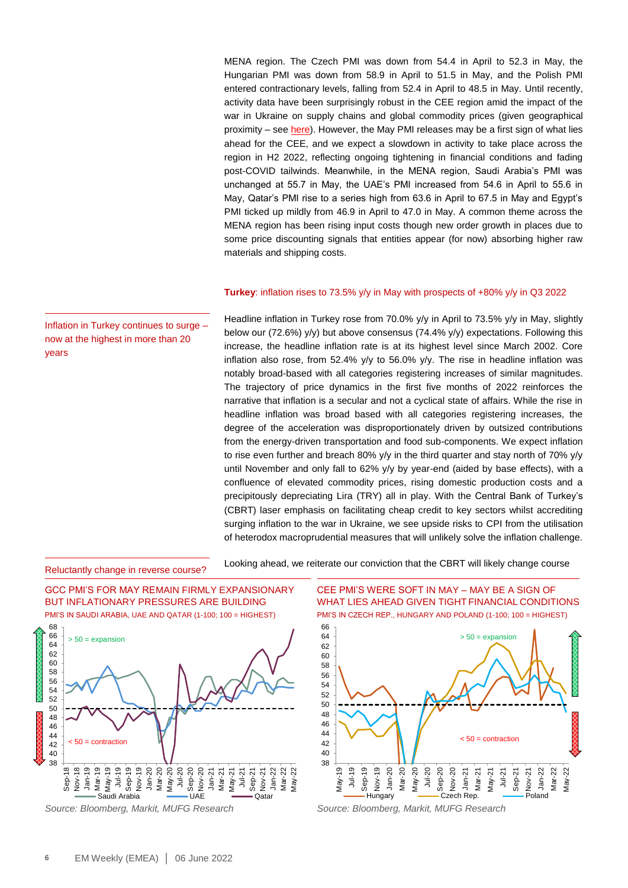MENA region. The Czech PMI was down from 54.4 in April to 52.3 in May, the Hungarian PMI was down from 58.9 in April to 51.5 in May, and the Polish PMI entered contractionary levels, falling from 52.4 in April to 48.5 in May. Until recently, activity data have been surprisingly robust in the CEE region amid the impact of the war in Ukraine on supply chains and global commodity prices (given geographical proximity – see [here\)](https://market-research.bk.mufg.jp/distribution/47525_ext_01_en_0.pdf). However, the May PMI releases may be a first sign of what lies ahead for the CEE, and we expect a slowdown in activity to take place across the region in H2 2022, reflecting ongoing tightening in financial conditions and fading post-COVID tailwinds. Meanwhile, in the MENA region, Saudi Arabia's PMI was unchanged at 55.7 in May, the UAE's PMI increased from 54.6 in April to 55.6 in May, Qatar's PMI rise to a series high from 63.6 in April to 67.5 in May and Egypt's PMI ticked up mildly from 46.9 in April to 47.0 in May. A common theme across the MENA region has been rising input costs though new order growth in places due to some price discounting signals that entities appear (for now) absorbing higher raw materials and shipping costs.

#### **Turkey**: inflation rises to 73.5% y/y in May with prospects of +80% y/y in Q3 2022

Headline inflation in Turkey rose from 70.0% y/y in April to 73.5% y/y in May, slightly below our (72.6%) y/y) but above consensus (74.4% y/y) expectations. Following this increase, the headline inflation rate is at its highest level since March 2002. Core inflation also rose, from 52.4%  $y/y$  to 56.0%  $y/y$ . The rise in headline inflation was notably broad-based with all categories registering increases of similar magnitudes. The trajectory of price dynamics in the first five months of 2022 reinforces the narrative that inflation is a secular and not a cyclical state of affairs. While the rise in headline inflation was broad based with all categories registering increases, the degree of the acceleration was disproportionately driven by outsized contributions from the energy-driven transportation and food sub-components. We expect inflation to rise even further and breach 80% y/y in the third quarter and stay north of 70% y/y until November and only fall to 62% y/y by year-end (aided by base effects), with a confluence of elevated commodity prices, rising domestic production costs and a precipitously depreciating Lira (TRY) all in play. With the Central Bank of Turkey's (CBRT) laser emphasis on facilitating cheap credit to key sectors whilst accrediting surging inflation to the war in Ukraine, we see upside risks to CPI from the utilisation of heterodox macroprudential measures that will unlikely solve the inflation challenge.

Reluctantly change in reverse course?

Looking ahead, we reiterate our conviction that the CBRT will likely change course



CEE PMI'S WERE SOFT IN MAY – MAY BE A SIGN OF WHAT LIES AHEAD GIVEN TIGHT FINANCIAL CONDITIONS PMI'S IN CZECH REP., HUNGARY AND POLAND (1-100; 100 = HIGHEST)



Inflation in Turkey continues to surge – now at the highest in more than 20 years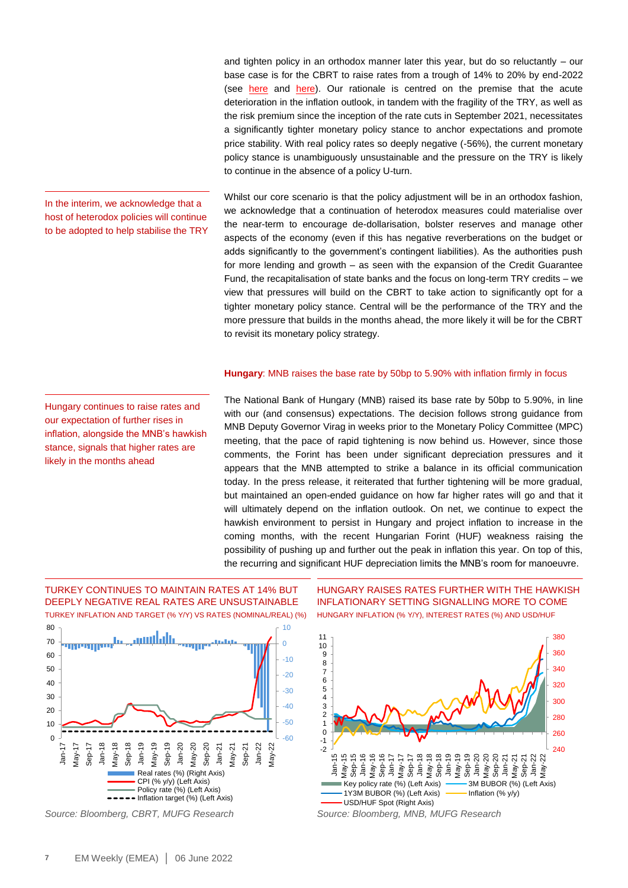and tighten policy in an orthodox manner later this year, but do so reluctantly – our base case is for the CBRT to raise rates from a trough of 14% to 20% by end-2022 (see [here](https://market-research.bk.mufg.jp/distribution/47237_ext_01_en_0.pdf) and [here\)](https://market-research.bk.mufg.jp/distribution/46781_ext_01_en_0.pdf). Our rationale is centred on the premise that the acute deterioration in the inflation outlook, in tandem with the fragility of the TRY, as well as the risk premium since the inception of the rate cuts in September 2021, necessitates a significantly tighter monetary policy stance to anchor expectations and promote price stability. With real policy rates so deeply negative (-56%), the current monetary policy stance is unambiguously unsustainable and the pressure on the TRY is likely to continue in the absence of a policy U-turn.

Whilst our core scenario is that the policy adjustment will be in an orthodox fashion, we acknowledge that a continuation of heterodox measures could materialise over the near-term to encourage de-dollarisation, bolster reserves and manage other aspects of the economy (even if this has negative reverberations on the budget or adds significantly to the government's contingent liabilities). As the authorities push for more lending and growth – as seen with the expansion of the Credit Guarantee Fund, the recapitalisation of state banks and the focus on long-term TRY credits – we view that pressures will build on the CBRT to take action to significantly opt for a tighter monetary policy stance. Central will be the performance of the TRY and the more pressure that builds in the months ahead, the more likely it will be for the CBRT to revisit its monetary policy strategy.

#### **Hungary**: MNB raises the base rate by 50bp to 5.90% with inflation firmly in focus

The National Bank of Hungary (MNB) raised its base rate by 50bp to 5.90%, in line with our (and consensus) expectations. The decision follows strong guidance from MNB Deputy Governor Virag in weeks prior to the Monetary Policy Committee (MPC) meeting, that the pace of rapid tightening is now behind us. However, since those comments, the Forint has been under significant depreciation pressures and it appears that the MNB attempted to strike a balance in its official communication today. In the press release, it reiterated that further tightening will be more gradual, but maintained an open-ended guidance on how far higher rates will go and that it will ultimately depend on the inflation outlook. On net, we continue to expect the hawkish environment to persist in Hungary and project inflation to increase in the coming months, with the recent Hungarian Forint (HUF) weakness raising the possibility of pushing up and further out the peak in inflation this year. On top of this, the recurring and significant HUF depreciation limits the MNB's room for manoeuvre.

In the interim, we acknowledge that a host of heterodox policies will continue to be adopted to help stabilise the TRY

Hungary continues to raise rates and our expectation of further rises in inflation, alongside the MNB's hawkish stance, signals that higher rates are likely in the months ahead

#### TURKEY CONTINUES TO MAINTAIN RATES AT 14% BUT DEEPLY NEGATIVE REAL RATES ARE UNSUSTAINABLE TURKEY INFLATION AND TARGET (% Y/Y) VS RATES (NOMINAL/REAL) (%)



*Source: Bloomberg, CBRT, MUFG Research Source: Bloomberg, MNB, MUFG Research*

HUNGARY RAISES RATES FURTHER WITH THE HAWKISH INFLATIONARY SETTING SIGNALLING MORE TO COME HUNGARY INFLATION (% Y/Y), INTEREST RATES (%) AND USD/HUF

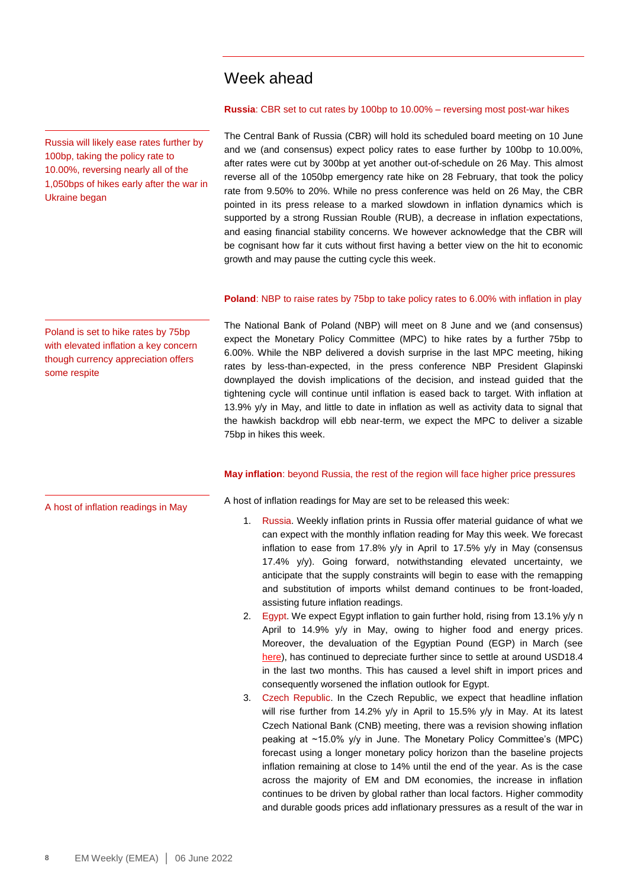### Week ahead

Russia will likely ease rates further by 100bp, taking the policy rate to 10.00%, reversing nearly all of the 1,050bps of hikes early after the war in Ukraine began

# The Central Bank of Russia (CBR) will hold its scheduled board meeting on 10 June

and we (and consensus) expect policy rates to ease further by 100bp to 10.00%, after rates were cut by 300bp at yet another out-of-schedule on 26 May. This almost reverse all of the 1050bp emergency rate hike on 28 February, that took the policy rate from 9.50% to 20%. While no press conference was held on 26 May, the CBR pointed in its press release to a marked slowdown in inflation dynamics which is supported by a strong Russian Rouble (RUB), a decrease in inflation expectations, and easing financial stability concerns. We however acknowledge that the CBR will be cognisant how far it cuts without first having a better view on the hit to economic growth and may pause the cutting cycle this week.

**Russia**: CBR set to cut rates by 100bp to 10.00% – reversing most post-war hikes

#### **Poland**: NBP to raise rates by 75bp to take policy rates to 6.00% with inflation in play

The National Bank of Poland (NBP) will meet on 8 June and we (and consensus) expect the Monetary Policy Committee (MPC) to hike rates by a further 75bp to 6.00%. While the NBP delivered a dovish surprise in the last MPC meeting, hiking rates by less-than-expected, in the press conference NBP President Glapinski downplayed the dovish implications of the decision, and instead guided that the tightening cycle will continue until inflation is eased back to target. With inflation at 13.9% y/y in May, and little to date in inflation as well as activity data to signal that the hawkish backdrop will ebb near-term, we expect the MPC to deliver a sizable 75bp in hikes this week.

#### **May inflation**: beyond Russia, the rest of the region will face higher price pressures

A host of inflation readings in May

Poland is set to hike rates by 75bp with elevated inflation a key concern though currency appreciation offers

some respite

A host of inflation readings for May are set to be released this week:

- 1. Russia. Weekly inflation prints in Russia offer material guidance of what we can expect with the monthly inflation reading for May this week. We forecast inflation to ease from 17.8% y/y in April to 17.5% y/y in May (consensus 17.4% y/y). Going forward, notwithstanding elevated uncertainty, we anticipate that the supply constraints will begin to ease with the remapping and substitution of imports whilst demand continues to be front-loaded, assisting future inflation readings.
- 2. Egypt. We expect Egypt inflation to gain further hold, rising from 13.1% y/y n April to 14.9% y/y in May, owing to higher food and energy prices. Moreover, the devaluation of the Egyptian Pound (EGP) in March (see [here\)](https://market-research.bk.mufg.jp/distribution/47769_ext_01_en_0.pdf), has continued to depreciate further since to settle at around USD18.4 in the last two months. This has caused a level shift in import prices and consequently worsened the inflation outlook for Egypt.
- 3. Czech Republic. In the Czech Republic, we expect that headline inflation will rise further from 14.2% y/y in April to 15.5% y/y in May. At its latest Czech National Bank (CNB) meeting, there was a revision showing inflation peaking at ~15.0% y/y in June. The Monetary Policy Committee's (MPC) forecast using a longer monetary policy horizon than the baseline projects inflation remaining at close to 14% until the end of the year. As is the case across the majority of EM and DM economies, the increase in inflation continues to be driven by global rather than local factors. Higher commodity and durable goods prices add inflationary pressures as a result of the war in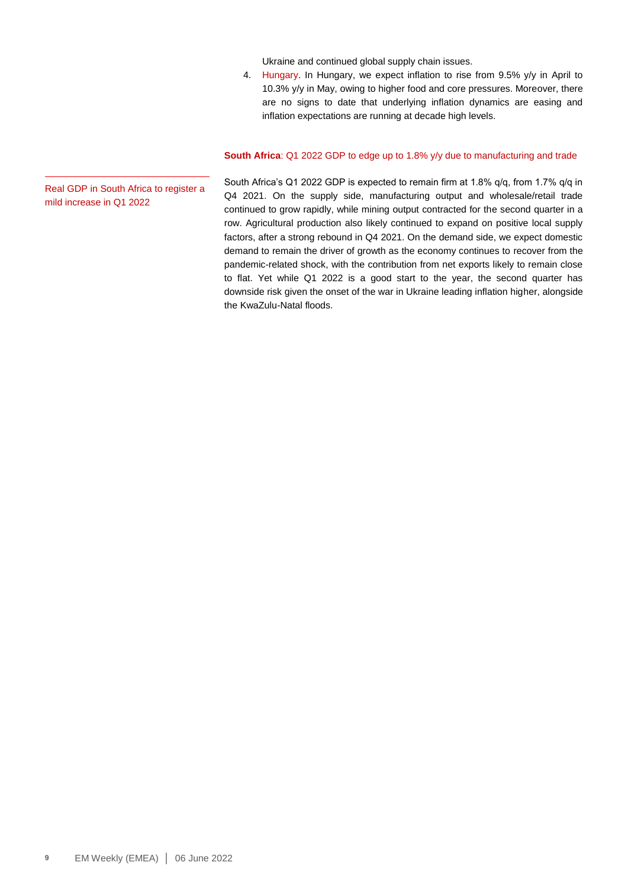Ukraine and continued global supply chain issues.

4. Hungary. In Hungary, we expect inflation to rise from 9.5% y/y in April to 10.3% y/y in May, owing to higher food and core pressures. Moreover, there are no signs to date that underlying inflation dynamics are easing and inflation expectations are running at decade high levels.

#### **South Africa**: Q1 2022 GDP to edge up to 1.8% y/y due to manufacturing and trade

South Africa's Q1 2022 GDP is expected to remain firm at 1.8% q/q, from 1.7% q/q in Q4 2021. On the supply side, manufacturing output and wholesale/retail trade continued to grow rapidly, while mining output contracted for the second quarter in a row. Agricultural production also likely continued to expand on positive local supply factors, after a strong rebound in Q4 2021. On the demand side, we expect domestic demand to remain the driver of growth as the economy continues to recover from the pandemic-related shock, with the contribution from net exports likely to remain close to flat. Yet while Q1 2022 is a good start to the year, the second quarter has downside risk given the onset of the war in Ukraine leading inflation higher, alongside the KwaZulu-Natal floods.

Real GDP in South Africa to register a mild increase in Q1 2022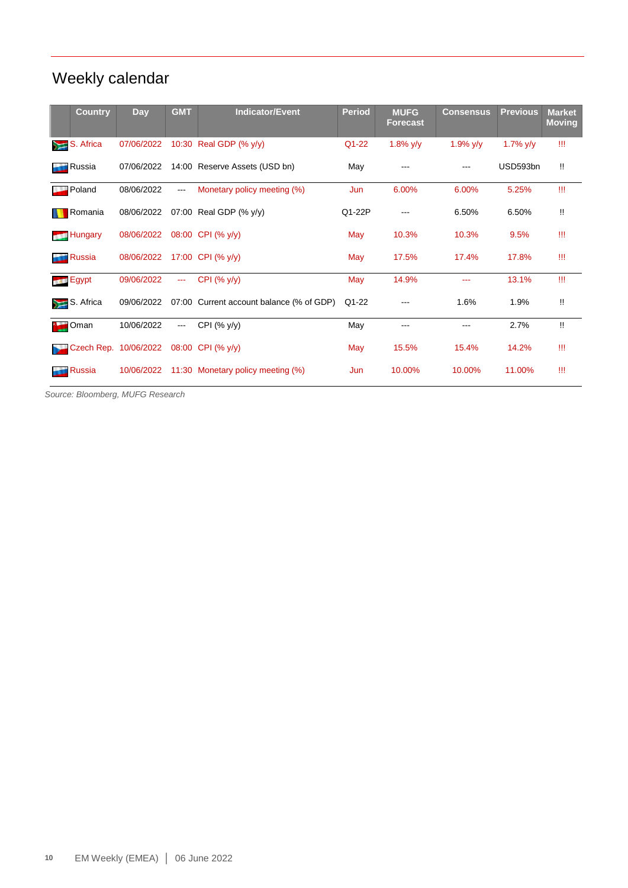## Weekly calendar

| <b>Country</b>       | Day                   | <b>GMT</b>             | <b>Indicator/Event</b>             | <b>Period</b> | <b>MUFG</b><br><b>Forecast</b> | <b>Consensus</b> | <b>Previous</b> | <b>Market</b><br><b>Moving</b> |
|----------------------|-----------------------|------------------------|------------------------------------|---------------|--------------------------------|------------------|-----------------|--------------------------------|
| S. Africa<br>$\geq$  | 07/06/2022            |                        | 10:30 Real GDP (% y/y)             | $Q1 - 22$     | 1.8% $y/y$                     | $1.9\%$ y/y      | 1.7% $y/y$      | Ш                              |
| Russia<br>r a        | 07/06/2022            |                        | 14:00 Reserve Assets (USD bn)      | May           |                                |                  | USD593bn        | Π.                             |
| Poland<br>سلالا      | 08/06/2022            | $\frac{1}{2}$          | Monetary policy meeting (%)        | Jun           | 6.00%                          | 6.00%            | 5.25%           | Ш                              |
| Romania              | 08/06/2022            |                        | 07:00 Real GDP (% y/y)             | Q1-22P        |                                | 6.50%            | 6.50%           | W                              |
| <b>Hungary</b>       | 08/06/2022            |                        | 08:00 CPI (% y/y)                  | May           | 10.3%                          | 10.3%            | 9.5%            | Ш                              |
| <b>Russia</b>        | 08/06/2022            |                        | 17:00 CPI (% y/y)                  | May           | 17.5%                          | 17.4%            | 17.8%           | Ш                              |
| Egypt                | 09/06/2022            | $\cdots$               | CPI (% y/y)                        | May           | 14.9%                          | ---              | 13.1%           | Ш                              |
| S. Africa<br>$\geq$  | 09/06/2022            | 07:00                  | Current account balance (% of GDP) | Q1-22         |                                | 1.6%             | 1.9%            | Π.                             |
| Oman                 | 10/06/2022            | $\qquad \qquad \cdots$ | CPI $(% y/y)$                      | May           |                                | ---              | 2.7%            | $\mathbf{H}$                   |
|                      | Czech Rep. 10/06/2022 |                        | 08:00 CPI (% y/y)                  | May           | 15.5%                          | 15.4%            | 14.2%           | Ш                              |
| Russia<br><b>ALC</b> | 10/06/2022            |                        | 11:30 Monetary policy meeting (%)  | Jun           | 10.00%                         | 10.00%           | 11.00%          | Ш                              |

*Source: Bloomberg, MUFG Research*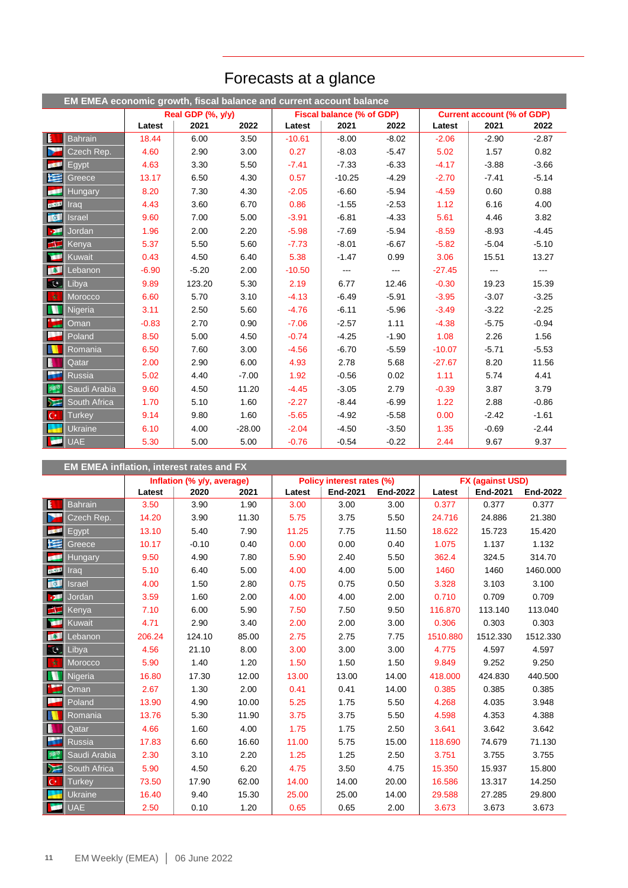|                  | EM EMEA economic growth, fiscal balance and current account balance |         |                   |          |          |                           |               |                                   |                   |         |
|------------------|---------------------------------------------------------------------|---------|-------------------|----------|----------|---------------------------|---------------|-----------------------------------|-------------------|---------|
|                  |                                                                     |         | Real GDP (%, y/y) |          |          | Fiscal balance (% of GDP) |               | <b>Current account (% of GDP)</b> |                   |         |
|                  |                                                                     | Latest  | 2021              | 2022     | Latest   | 2021                      | 2022          | Latest                            | 2021              | 2022    |
| $\mathbf{E}$     | <b>Bahrain</b>                                                      | 18.44   | 6.00              | 3.50     | $-10.61$ | $-8.00$                   | $-8.02$       | $-2.06$                           | $-2.90$           | $-2.87$ |
| ь                | Czech Rep.                                                          | 4.60    | 2.90              | 3.00     | 0.27     | $-8.03$                   | $-5.47$       | 5.02                              | 1.57              | 0.82    |
| <b>REAL</b>      | Egypt                                                               | 4.63    | 3.30              | 5.50     | $-7.41$  | $-7.33$                   | $-6.33$       | $-4.17$                           | $-3.88$           | $-3.66$ |
| 医                | Greece                                                              | 13.17   | 6.50              | 4.30     | 0.57     | $-10.25$                  | $-4.29$       | $-2.70$                           | $-7.41$           | $-5.14$ |
| k۴               | <b>Hungary</b>                                                      | 8.20    | 7.30              | 4.30     | $-2.05$  | $-6.60$                   | $-5.94$       | $-4.59$                           | 0.60              | 0.88    |
| <b>COLOR</b>     | Irad                                                                | 4.43    | 3.60              | 6.70     | 0.86     | $-1.55$                   | $-2.53$       | 1.12                              | 6.16              | 4.00    |
| $\alpha$         | <b>Israel</b>                                                       | 9.60    | 7.00              | 5.00     | $-3.91$  | $-6.81$                   | $-4.33$       | 5.61                              | 4.46              | 3.82    |
| $\mathbf{p}$     | Jordan                                                              | 1.96    | 2.00              | 2.20     | $-5.98$  | $-7.69$                   | $-5.94$       | $-8.59$                           | $-8.93$           | $-4.45$ |
| $\blacksquare$   | Kenya                                                               | 5.37    | 5.50              | 5.60     | $-7.73$  | $-8.01$                   | $-6.67$       | $-5.82$                           | $-5.04$           | $-5.10$ |
| Œ                | Kuwait                                                              | 0.43    | 4.50              | 6.40     | 5.38     | $-1.47$                   | 0.99          | 3.06                              | 15.51             | 13.27   |
| <b>BSE</b>       | Lebanon                                                             | $-6.90$ | $-5.20$           | 2.00     | $-10.50$ | ---                       | $\frac{1}{2}$ | $-27.45$                          | $\qquad \qquad -$ | ---     |
| CC               | Libya                                                               | 9.89    | 123.20            | 5.30     | 2.19     | 6.77                      | 12.46         | $-0.30$                           | 19.23             | 15.39   |
| 女                | Morocco                                                             | 6.60    | 5.70              | 3.10     | $-4.13$  | $-6.49$                   | $-5.91$       | $-3.95$                           | $-3.07$           | $-3.25$ |
| N                | Nigeria                                                             | 3.11    | 2.50              | 5.60     | $-4.76$  | $-6.11$                   | $-5.96$       | $-3.49$                           | $-3.22$           | $-2.25$ |
| $\sum_{i=1}^{k}$ | Oman                                                                | $-0.83$ | 2.70              | 0.90     | $-7.06$  | $-2.57$                   | 1.11          | $-4.38$                           | $-5.75$           | $-0.94$ |
| ▄                | Poland                                                              | 8.50    | 5.00              | 4.50     | $-0.74$  | $-4.25$                   | $-1.90$       | 1.08                              | 2.26              | 1.56    |
| N                | Romania                                                             | 6.50    | 7.60              | 3.00     | $-4.56$  | $-6.70$                   | $-5.59$       | $-10.07$                          | $-5.71$           | $-5.53$ |
| B                | Qatar                                                               | 2.00    | 2.90              | 6.00     | 4.93     | 2.78                      | 5.68          | $-27.67$                          | 8.20              | 11.56   |
| a.               | <b>Russia</b>                                                       | 5.02    | 4.40              | $-7.00$  | 1.92     | $-0.56$                   | 0.02          | 1.11                              | 5.74              | 4.41    |
| 舞                | Saudi Arabia                                                        | 9.60    | 4.50              | 11.20    | $-4.45$  | $-3.05$                   | 2.79          | $-0.39$                           | 3.87              | 3.79    |
| Y                | South Africa                                                        | 1.70    | 5.10              | 1.60     | $-2.27$  | $-8.44$                   | $-6.99$       | 1.22                              | 2.88              | $-0.86$ |
| $ C^* $          | <b>Turkey</b>                                                       | 9.14    | 9.80              | 1.60     | $-5.65$  | $-4.92$                   | $-5.58$       | 0.00                              | $-2.42$           | $-1.61$ |
| a ka             | Ukraine                                                             | 6.10    | 4.00              | $-28.00$ | $-2.04$  | $-4.50$                   | $-3.50$       | 1.35                              | $-0.69$           | $-2.44$ |
| اقي              | <b>UAE</b>                                                          | 5.30    | 5.00              | 5.00     | $-0.76$  | $-0.54$                   | $-0.22$       | 2.44                              | 9.67              | 9.37    |

## Forecasts at a glance

|                         | <b>EM EMEA inflation, interest rates and FX</b> |        |                            |       |        |                           |                 |          |                         |          |  |  |  |
|-------------------------|-------------------------------------------------|--------|----------------------------|-------|--------|---------------------------|-----------------|----------|-------------------------|----------|--|--|--|
|                         |                                                 |        | Inflation (% y/y, average) |       |        | Policy interest rates (%) |                 |          | <b>FX (against USD)</b> |          |  |  |  |
|                         |                                                 | Latest | 2020                       | 2021  | Latest | <b>End-2021</b>           | <b>End-2022</b> | Latest   | End-2021                | End-2022 |  |  |  |
| $\mathbf{E}$            | <b>Bahrain</b>                                  | 3.50   | 3.90                       | 1.90  | 3.00   | 3.00                      | 3.00            | 0.377    | 0.377                   | 0.377    |  |  |  |
| Þ                       | Czech Rep.                                      | 14.20  | 3.90                       | 11.30 | 5.75   | 3.75                      | 5.50            | 24.716   | 24.886                  | 21.380   |  |  |  |
| <b>BELL</b>             | Egypt                                           | 13.10  | 5.40                       | 7.90  | 11.25  | 7.75                      | 11.50           | 18.622   | 15.723                  | 15.420   |  |  |  |
| 埕                       | Greece                                          | 10.17  | $-0.10$                    | 0.40  | 0.00   | 0.00                      | 0.40            | 1.075    | 1.137                   | 1.132    |  |  |  |
| œ                       | <b>Hungary</b>                                  | 9.50   | 4.90                       | 7.80  | 5.90   | 2.40                      | 5.50            | 362.4    | 324.5                   | 314.70   |  |  |  |
| <b>CARD IN</b>          | Irad                                            | 5.10   | 6.40                       | 5.00  | 4.00   | 4.00                      | 5.00            | 1460     | 1460                    | 1460.000 |  |  |  |
| $\alpha$                | <b>Israel</b>                                   | 4.00   | 1.50                       | 2.80  | 0.75   | 0.75                      | 0.50            | 3.328    | 3.103                   | 3.100    |  |  |  |
| ы                       | Jordan                                          | 3.59   | 1.60                       | 2.00  | 4.00   | 4.00                      | 2.00            | 0.710    | 0.709                   | 0.709    |  |  |  |
| $\blacksquare$          | Kenya                                           | 7.10   | 6.00                       | 5.90  | 7.50   | 7.50                      | 9.50            | 116.870  | 113.140                 | 113.040  |  |  |  |
| œ                       | Kuwait                                          | 4.71   | 2.90                       | 3.40  | 2.00   | 2.00                      | 3.00            | 0.306    | 0.303                   | 0.303    |  |  |  |
| <b>ISSUED</b>           | Lebanon                                         | 206.24 | 124.10                     | 85.00 | 2.75   | 2.75                      | 7.75            | 1510.880 | 1512.330                | 1512.330 |  |  |  |
| $\overline{\mathbf{c}}$ | Libya                                           | 4.56   | 21.10                      | 8.00  | 3.00   | 3.00                      | 3.00            | 4.775    | 4.597                   | 4.597    |  |  |  |
| 一女                      | Morocco                                         | 5.90   | 1.40                       | 1.20  | 1.50   | 1.50                      | 1.50            | 9.849    | 9.252                   | 9.250    |  |  |  |
| N                       | Nigeria                                         | 16.80  | 17.30                      | 12.00 | 13.00  | 13.00                     | 14.00           | 418.000  | 424.830                 | 440.500  |  |  |  |
|                         | Oman                                            | 2.67   | 1.30                       | 2.00  | 0.41   | 0.41                      | 14.00           | 0.385    | 0.385                   | 0.385    |  |  |  |
|                         | Poland                                          | 13.90  | 4.90                       | 10.00 | 5.25   | 1.75                      | 5.50            | 4.268    | 4.035                   | 3.948    |  |  |  |
|                         | Romania                                         | 13.76  | 5.30                       | 11.90 | 3.75   | 3.75                      | 5.50            | 4.598    | 4.353                   | 4.388    |  |  |  |
| ı                       | Qatar                                           | 4.66   | 1.60                       | 4.00  | 1.75   | 1.75                      | 2.50            | 3.641    | 3.642                   | 3.642    |  |  |  |
|                         | <b>Russia</b>                                   | 17.83  | 6.60                       | 16.60 | 11.00  | 5.75                      | 15.00           | 118.690  | 74.679                  | 71.130   |  |  |  |
| $35^{\circ}$            | Saudi Arabia                                    | 2.30   | 3.10                       | 2.20  | 1.25   | 1.25                      | 2.50            | 3.751    | 3.755                   | 3.755    |  |  |  |
| ┣⋝                      | South Africa                                    | 5.90   | 4.50                       | 6.20  | 4.75   | 3.50                      | 4.75            | 15.350   | 15.937                  | 15.800   |  |  |  |
| $\mathsf{C}^*$          | <b>Turkey</b>                                   | 73.50  | 17.90                      | 62.00 | 14.00  | 14.00                     | 20.00           | 16.586   | 13.317                  | 14.250   |  |  |  |
|                         | <b>Ukraine</b>                                  | 16.40  | 9.40                       | 15.30 | 25.00  | 25.00                     | 14.00           | 29.588   | 27.285                  | 29.800   |  |  |  |
| <b>Septiment</b>        | <b>UAE</b>                                      | 2.50   | 0.10                       | 1.20  | 0.65   | 0.65                      | 2.00            | 3.673    | 3.673                   | 3.673    |  |  |  |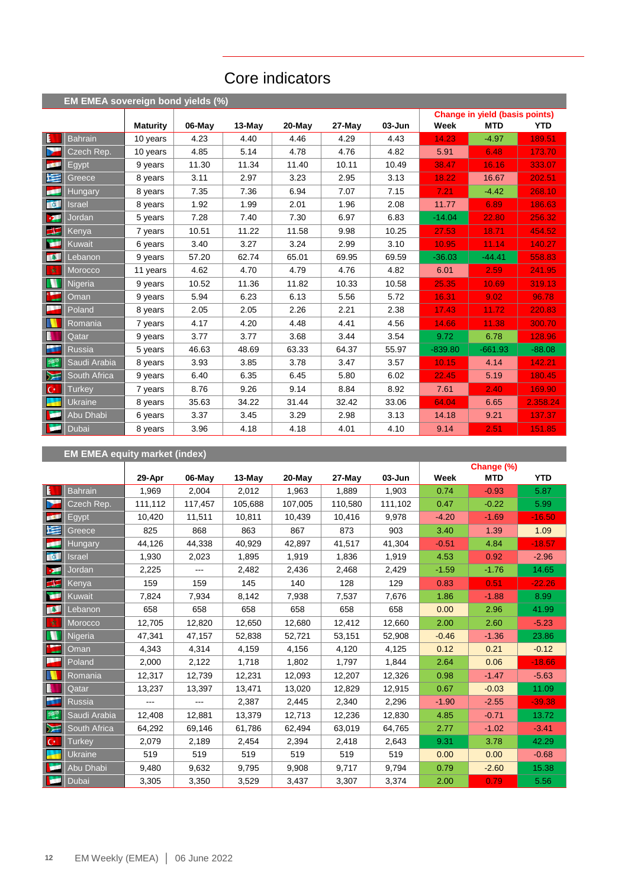### Core indicators

|             | EM EMEA sovereign bond yields (%) |                 |        |          |        |        |            |           |                                       |            |
|-------------|-----------------------------------|-----------------|--------|----------|--------|--------|------------|-----------|---------------------------------------|------------|
|             |                                   |                 |        |          |        |        |            |           | <b>Change in yield (basis points)</b> |            |
|             |                                   | <b>Maturity</b> | 06-May | $13-May$ | 20-May | 27-May | $03 - Jun$ | Week      | <b>MTD</b>                            | <b>YTD</b> |
| E           | <b>Bahrain</b>                    | 10 years        | 4.23   | 4.40     | 4.46   | 4.29   | 4.43       | 14.23     | $-4.97$                               | 189.51     |
| b.          | Czech Rep.                        | 10 years        | 4.85   | 5.14     | 4.78   | 4.76   | 4.82       | 5.91      | 6.48                                  | 173.70     |
| <b>COL</b>  | Egypt                             | 9 years         | 11.30  | 11.34    | 11.40  | 10.11  | 10.49      | 38.47     | 16.16                                 | 333.07     |
| 垤           | Greece                            | 8 years         | 3.11   | 2.97     | 3.23   | 2.95   | 3.13       | 18.22     | 16.67                                 | 202.51     |
| ø           | <b>Hungary</b>                    | 8 years         | 7.35   | 7.36     | 6.94   | 7.07   | 7.15       | 7.21      | $-4.42$                               | 268.10     |
| <b>OCT</b>  | <b>Israel</b>                     | 8 years         | 1.92   | 1.99     | 2.01   | 1.96   | 2.08       | 11.77     | 6.89                                  | 186.63     |
| <b>D</b>    | Jordan                            | 5 years         | 7.28   | 7.40     | 7.30   | 6.97   | 6.83       | $-14.04$  | 22.80                                 | 256.32     |
| $\equiv$    | Kenya                             | 7 years         | 10.51  | 11.22    | 11.58  | 9.98   | 10.25      | 27.53     | 18.71                                 | 454.52     |
| <b>ISBN</b> | Kuwait                            | 6 years         | 3.40   | 3.27     | 3.24   | 2.99   | 3.10       | 10.95     | 11.14                                 | 140.27     |
| <b>TAL</b>  | Lebanon                           | 9 years         | 57.20  | 62.74    | 65.01  | 69.95  | 69.59      | $-36.03$  | $-44.41$                              | 558.83     |
| 一女          | Morocco                           | 11 years        | 4.62   | 4.70     | 4.79   | 4.76   | 4.82       | 6.01      | 2.59                                  | 241.95     |
| N           | Nigeria                           | 9 years         | 10.52  | 11.36    | 11.82  | 10.33  | 10.58      | 25.35     | 10.69                                 | 319.13     |
| ۰.          | Oman                              | 9 years         | 5.94   | 6.23     | 6.13   | 5.56   | 5.72       | 16.31     | 9.02                                  | 96.78      |
| a an        | Poland                            | 8 years         | 2.05   | 2.05     | 2.26   | 2.21   | 2.38       | 17.43     | 11.72                                 | 220.83     |
|             | Romania                           | 7 years         | 4.17   | 4.20     | 4.48   | 4.41   | 4.56       | 14.66     | 11.38                                 | 300.70     |
| L           | Qatar                             | 9 years         | 3.77   | 3.77     | 3.68   | 3.44   | 3.54       | 9.72      | 6.78                                  | 128.96     |
| k.          | <b>Russia</b>                     | 5 years         | 46.63  | 48.69    | 63.33  | 64.37  | 55.97      | $-839.80$ | $-661.93$                             | $-88.08$   |
| 舞           | Saudi Arabia                      | 8 years         | 3.93   | 3.85     | 3.78   | 3.47   | 3.57       | 10.15     | 4.14                                  | 142.21     |
| ⋝⋶          | South Africa                      | 9 years         | 6.40   | 6.35     | 6.45   | 5.80   | 6.02       | 22.45     | 5.19                                  | 180.45     |
| $ C^* $     | <b>Turkey</b>                     | 7 years         | 8.76   | 9.26     | 9.14   | 8.84   | 8.92       | 7.61      | 2.40                                  | 169.90     |
|             | <b>Ukraine</b>                    | 8 years         | 35.63  | 34.22    | 31.44  | 32.42  | 33.06      | 64.04     | 6.65                                  | 2.358.24   |
| <b>Test</b> | Abu Dhabi                         | 6 years         | 3.37   | 3.45     | 3.29   | 2.98   | 3.13       | 14.18     | 9.21                                  | 137.37     |
| œ           | Dubai                             | 8 years         | 3.96   | 4.18     | 4.18   | 4.01   | 4.10       | 9.14      | 2.51                                  | 151.85     |

### **EM EMEA equity market (index)**

|                |                |         |         |          |         |         |         |         | Change (%) |            |
|----------------|----------------|---------|---------|----------|---------|---------|---------|---------|------------|------------|
|                |                | 29-Apr  | 06-May  | $13-May$ | 20-May  | 27-May  | 03-Jun  | Week    | <b>MTD</b> | <b>YTD</b> |
| E              | <b>Bahrain</b> | 1,969   | 2,004   | 2,012    | 1,963   | 1,889   | 1,903   | 0.74    | $-0.93$    | 5.87       |
| Y              | Czech Rep.     | 111,112 | 117,457 | 105,688  | 107,005 | 110,580 | 111,102 | 0.47    | $-0.22$    | 5.99       |
| <b>COL</b>     | Egypt          | 10,420  | 11,511  | 10,811   | 10,439  | 10,416  | 9,978   | $-4.20$ | $-1.69$    | $-16.50$   |
| M              | Greece         | 825     | 868     | 863      | 867     | 873     | 903     | 3.40    | 1.39       | 1.09       |
| <b>SSS</b>     | <b>Hungary</b> | 44,126  | 44,338  | 40,929   | 42,897  | 41,517  | 41,304  | $-0.51$ | 4.84       | $-18.57$   |
| <b>B</b>       | Israel         | 1,930   | 2,023   | 1,895    | 1,919   | 1,836   | 1,919   | 4.53    | 0.92       | $-2.96$    |
| $\mathbf{v}$   | Jordan         | 2,225   | ---     | 2,482    | 2,436   | 2,468   | 2,429   | $-1.59$ | $-1.76$    | 14.65      |
| $\blacksquare$ | <b>Kenya</b>   | 159     | 159     | 145      | 140     | 128     | 129     | 0.83    | 0.51       | $-22.26$   |
| À              | Kuwait         | 7,824   | 7,934   | 8,142    | 7,938   | 7,537   | 7,676   | 1.86    | $-1.88$    | 8.99       |
| <b>A</b>       | Lebanon        | 658     | 658     | 658      | 658     | 658     | 658     | 0.00    | 2.96       | 41.99      |
| 女              | Morocco        | 12,705  | 12,820  | 12,650   | 12,680  | 12,412  | 12,660  | 2.00    | 2.60       | $-5.23$    |
| D              | Nigeria        | 47,341  | 47,157  | 52,838   | 52,721  | 53,151  | 52,908  | $-0.46$ | $-1.36$    | 23.86      |
| * __           | Oman           | 4,343   | 4,314   | 4,159    | 4,156   | 4,120   | 4,125   | 0.12    | 0.21       | $-0.12$    |
| ł              | Poland         | 2,000   | 2,122   | 1,718    | 1,802   | 1,797   | 1,844   | 2.64    | 0.06       | $-18.66$   |
| W              | Romania        | 12,317  | 12,739  | 12,231   | 12,093  | 12,207  | 12,326  | 0.98    | $-1.47$    | $-5.63$    |
| B              | Qatar          | 13,237  | 13,397  | 13,471   | 13,020  | 12,829  | 12,915  | 0.67    | $-0.03$    | 11.09      |
| Ŧ              | <b>Russia</b>  | ---     | ---     | 2,387    | 2,445   | 2,340   | 2,296   | $-1.90$ | $-2.55$    | $-39.38$   |
| 譯              | Saudi Arabia   | 12,408  | 12,881  | 13,379   | 12,713  | 12,236  | 12,830  | 4.85    | $-0.71$    | 13.72      |
| $\sum$         | South Africa   | 64,292  | 69,146  | 61,786   | 62,494  | 63,019  | 64,765  | 2.77    | $-1.02$    | $-3.41$    |
| $\mathbf{C}^*$ | <b>Turkey</b>  | 2,079   | 2,189   | 2,454    | 2,394   | 2,418   | 2,643   | 9.31    | 3.78       | 42.29      |
|                | Ukraine        | 519     | 519     | 519      | 519     | 519     | 519     | 0.00    | 0.00       | $-0.68$    |
| м              | Abu Dhabi      | 9,480   | 9,632   | 9,795    | 9,908   | 9,717   | 9,794   | 0.79    | $-2.60$    | 15.38      |
| <b>Sept</b>    | Dubai          | 3,305   | 3,350   | 3,529    | 3,437   | 3,307   | 3,374   | 2.00    | 0.79       | 5.56       |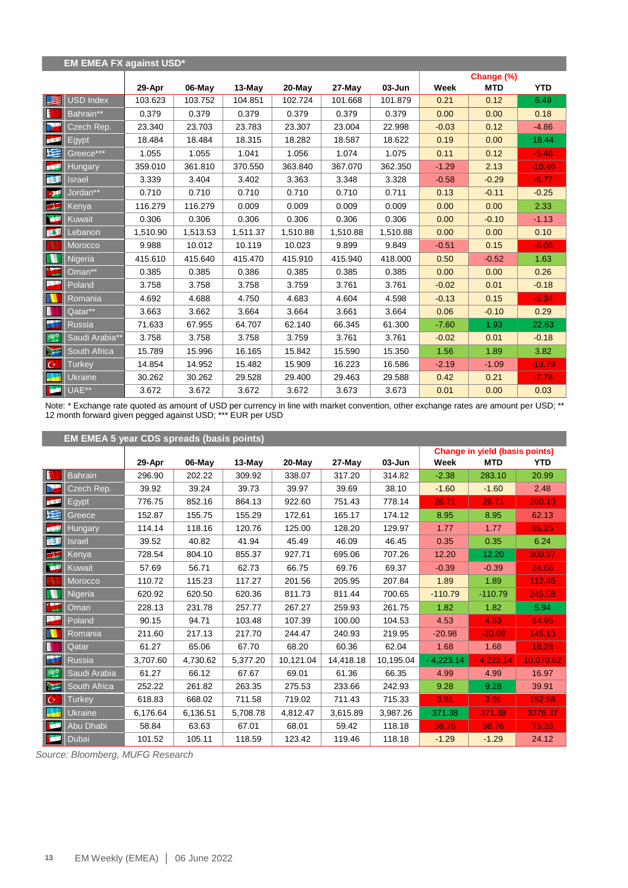|                  | <b>EM EMEA FX against USD*</b> |          |          |          |          |          |            |         |            |            |
|------------------|--------------------------------|----------|----------|----------|----------|----------|------------|---------|------------|------------|
|                  |                                |          |          |          |          |          |            |         | Change (%) |            |
|                  |                                | 29-Apr   | 06-May   | $13-May$ | 20-May   | 27-May   | $03 - Jun$ | Week    | <b>MTD</b> | <b>YTD</b> |
| 医                | USD Index                      | 103.623  | 103.752  | 104.851  | 102.724  | 101.668  | 101.879    | 0.21    | 0.12       | 6.49       |
| E                | Bahrain**                      | 0.379    | 0.379    | 0.379    | 0.379    | 0.379    | 0.379      | 0.00    | 0.00       | 0.18       |
| N                | Czech Rep.                     | 23.340   | 23.703   | 23.783   | 23.307   | 23.004   | 22.998     | $-0.03$ | 0.12       | $-4.86$    |
| <b>COL</b>       | Egypt                          | 18.484   | 18.484   | 18.315   | 18.282   | 18.587   | 18.622     | 0.19    | 0.00       | 18.44      |
| N                | Greece***                      | 1.055    | 1.055    | 1.041    | 1.056    | 1.074    | 1.075      | 0.11    | 0.12       | $-5.48$    |
| للجم             | <b>Hungary</b>                 | 359.010  | 361.810  | 370.550  | 363.840  | 367.070  | 362.350    | $-1.29$ | 2.13       | $-10.46$   |
| <b>A</b>         | Israel                         | 3.339    | 3.404    | 3.402    | 3.363    | 3.348    | 3.328      | $-0.58$ | $-0.29$    | $-6.77$    |
| -94              | Jordan**                       | 0.710    | 0.710    | 0.710    | 0.710    | 0.710    | 0.711      | 0.13    | $-0.11$    | $-0.25$    |
| $\blacktriangle$ | Kenya                          | 116.279  | 116.279  | 0.009    | 0.009    | 0.009    | 0.009      | 0.00    | 0.00       | 2.33       |
| œ                | Kuwait                         | 0.306    | 0.306    | 0.306    | 0.306    | 0.306    | 0.306      | 0.00    | $-0.10$    | $-1.13$    |
| <b>TAL</b>       | Lebanon                        | 1,510.90 | 1,513.53 | 1,511.37 | 1,510.88 | 1,510.88 | 1,510.88   | 0.00    | 0.00       | 0.10       |
| 女                | Morocco                        | 9.988    | 10.012   | 10.119   | 10.023   | 9.899    | 9.849      | $-0.51$ | 0.15       | $-6.06$    |
| M                | Nigeria                        | 415.610  | 415.640  | 415.470  | 415.910  | 415.940  | 418.000    | 0.50    | $-0.52$    | 1.63       |
| $\sum_{i=1}^{k}$ | Oman**                         | 0.385    | 0.385    | 0.386    | 0.385    | 0.385    | 0.385      | 0.00    | 0.00       | 0.26       |
| ł                | Poland                         | 3.758    | 3.758    | 3.758    | 3.759    | 3.761    | 3.761      | $-0.02$ | 0.01       | $-0.18$    |
|                  | Romania                        | 4.692    | 4.688    | 4.750    | 4.683    | 4.604    | 4.598      | $-0.13$ | 0.15       | $-5.34$    |
| N                | Qatar**                        | 3.663    | 3.662    | 3.664    | 3.664    | 3.661    | 3.664      | 0.06    | $-0.10$    | 0.29       |
| š.               | <b>Russia</b>                  | 71.633   | 67.955   | 64.707   | 62.140   | 66.345   | 61.300     | $-7.60$ | 1.93       | 22.63      |
| 選                | Saudi Arabia**                 | 3.758    | 3.758    | 3.758    | 3.759    | 3.761    | 3.761      | $-0.02$ | 0.01       | $-0.18$    |
| $\sum$           | South Africa                   | 15.789   | 15.996   | 16.165   | 15.842   | 15.590   | 15.350     | 1.56    | 1.89       | 3.82       |
| $\mathbf{C}^*$   | <b>Turkey</b>                  | 14.854   | 14.952   | 15.482   | 15.909   | 16.223   | 16.586     | $-2.19$ | $-1.09$    | $-19.79$   |
| ÷                | Ukraine                        | 30.262   | 30.262   | 29.528   | 29.400   | 29.463   | 29.588     | 0.42    | 0.21       | $-7.78$    |
| ×                | UAE**                          | 3.672    | 3.672    | 3.672    | 3.672    | 3.673    | 3.673      | 0.01    | 0.00       | 0.03       |

Note: \* Exchange rate quoted as amount of USD per currency in line with market convention, other exchange rates are amount per USD; \*\* 12 month forward given pegged against USD; \*\*\* EUR per USD

|                | <b>EM EMEA 5 year CDS spreads (basis points)</b> |          |          |          |           |           |            |             |                                       |            |  |  |  |
|----------------|--------------------------------------------------|----------|----------|----------|-----------|-----------|------------|-------------|---------------------------------------|------------|--|--|--|
|                |                                                  |          |          |          |           |           |            |             | <b>Change in yield (basis points)</b> |            |  |  |  |
|                |                                                  | 29-Apr   | 06-May   | $13-May$ | 20-May    | 27-May    | $03 - Jun$ | Week        | <b>MTD</b>                            | <b>YTD</b> |  |  |  |
| IE.            | <b>Bahrain</b>                                   | 296.90   | 202.22   | 309.92   | 338.07    | 317.20    | 314.82     | $-2.38$     | 283.10                                | 20.99      |  |  |  |
|                | Czech Rep.                                       | 39.92    | 39.24    | 39.73    | 39.97     | 39.69     | 38.10      | $-1.60$     | $-1.60$                               | 2.48       |  |  |  |
| <b>ISKE</b>    | Egypt                                            | 776.75   | 852.16   | 864.13   | 922.60    | 751.43    | 778.14     | 26.71       | 26.71                                 | 280.10     |  |  |  |
| 埕              | Greece                                           | 152.87   | 155.75   | 155.29   | 172.61    | 165.17    | 174.12     | 8.95        | 8.95                                  | 62.13      |  |  |  |
| Œ              | <b>Hungary</b>                                   | 114.14   | 118.16   | 120.76   | 125.00    | 128.20    | 129.97     | 1.77        | 1.77                                  | 85.25      |  |  |  |
| <b>TO SEE</b>  | Israel                                           | 39.52    | 40.82    | 41.94    | 45.49     | 46.09     | 46.45      | 0.35        | 0.35                                  | 6.24       |  |  |  |
| EF             | Kenva                                            | 728.54   | 804.10   | 855.37   | 927.71    | 695.06    | 707.26     | 12.20       | 12.20                                 | 300.37     |  |  |  |
| <b>DOM:</b>    | Kuwait                                           | 57.69    | 56.71    | 62.73    | 66.75     | 69.76     | 69.37      | $-0.39$     | $-0.39$                               | 24.66      |  |  |  |
| 一议             | Morocco                                          | 110.72   | 115.23   | 117.27   | 201.56    | 205.95    | 207.84     | 1.89        | 1.89                                  | 112.45     |  |  |  |
| N              | Nigeria                                          | 620.92   | 620.50   | 620.36   | 811.73    | 811.44    | 700.65     | $-110.79$   | $-110.79$                             | 245.58     |  |  |  |
|                | Oman                                             | 228.13   | 231.78   | 257.77   | 267.27    | 259.93    | 261.75     | 1.82        | 1.82                                  | 5.94       |  |  |  |
| a se           | Poland                                           | 90.15    | 94.71    | 103.48   | 107.39    | 100.00    | 104.53     | 4.53        | 4.53                                  | 64.95      |  |  |  |
|                | Romania                                          | 211.60   | 217.13   | 217.70   | 244.47    | 240.93    | 219.95     | $-20.98$    | $-20.98$                              | 145.13     |  |  |  |
| B              | Qatar                                            | 61.27    | 65.06    | 67.70    | 68.20     | 60.36     | 62.04      | 1.68        | 1.68                                  | 18.28      |  |  |  |
| ш              | <b>Russia</b>                                    | 3,707.60 | 4,730.62 | 5,377.20 | 10,121.04 | 14,418.18 | 10,195.04  | $-4,223.14$ | $-4,223.14$                           | 10.070.62  |  |  |  |
| 多部             | Saudi Arabia                                     | 61.27    | 66.12    | 67.67    | 69.01     | 61.36     | 66.35      | 4.99        | 4.99                                  | 16.97      |  |  |  |
| $\sum$         | South Africa                                     | 252.22   | 261.82   | 263.35   | 275.53    | 233.66    | 242.93     | 9.28        | 9.28                                  | 39.91      |  |  |  |
| $\mathbb{C}^*$ | <b>Turkey</b>                                    | 618.83   | 668.02   | 711.58   | 719.02    | 711.43    | 715.33     | 3.91        | 3.91                                  | 152.58     |  |  |  |
|                | Ukraine                                          | 6,176.64 | 6,136.51 | 5,708.78 | 4,812.47  | 3,615.89  | 3,987.26   | 371.38      | 371.38                                | 3376.37    |  |  |  |
|                | Abu Dhabi                                        | 58.84    | 63.63    | 67.01    | 68.01     | 59.42     | 118.18     | 58.76       | 58.76                                 | 75.28      |  |  |  |
|                | Dubai                                            | 101.52   | 105.11   | 118.59   | 123.42    | 119.46    | 118.18     | $-1.29$     | $-1.29$                               | 24.12      |  |  |  |

*Source: Bloomberg, MUFG Research*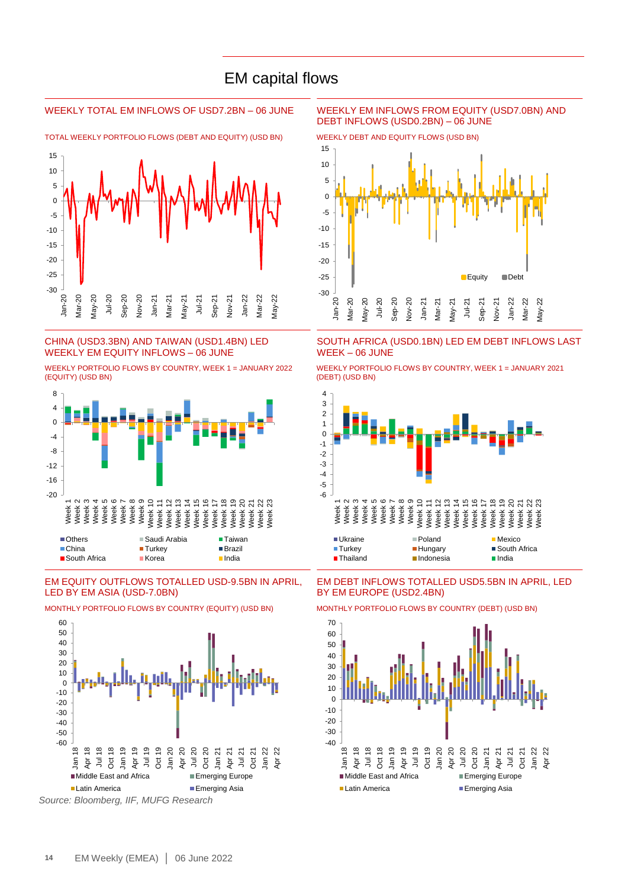### EM capital flows

TOTAL WEEKLY PORTFOLIO FLOWS (DEBT AND EQUITY) (USD BN) WEEKLY DEBT AND EQUITY FLOWS (USD BN)



#### CHINA (USD3.3BN) AND TAIWAN (USD1.4BN) LED WEEKLY EM EQUITY INFLOWS – 06 JUNE

WEEKLY PORTFOLIO FLOWS BY COUNTRY, WEEK 1 = JANUARY 2022 (EQUITY) (USD BN)



#### EM EQUITY OUTFLOWS TOTALLED USD-9.5BN IN APRIL, LED BY EM ASIA (USD-7.0BN)



MONTHLY PORTFOLIO FLOWS BY COUNTRY (EQUITY) (USD BN) MONTHLY PORTFOLIO FLOWS BY COUNTRY (DEBT) (USD BN)

*Source: Bloomberg, IIF, MUFG Research*

#### WEEKLY TOTAL EM INFLOWS OF USD7.2BN – 06 JUNE WEEKLY EM INFLOWS FROM EQUITY (USD7.0BN) AND DEBT INFLOWS (USD0.2BN) – 06 JUNE



SOUTH AFRICA (USD0.1BN) LED EM DEBT INFLOWS LAST WEEK – 06 JUNE

WEEKLY PORTFOLIO FLOWS BY COUNTRY, WEEK 1 = JANUARY 2021 (DEBT) (USD BN)



EM DEBT INFLOWS TOTALLED USD5.5BN IN APRIL, LED BY EM EUROPE (USD2.4BN)

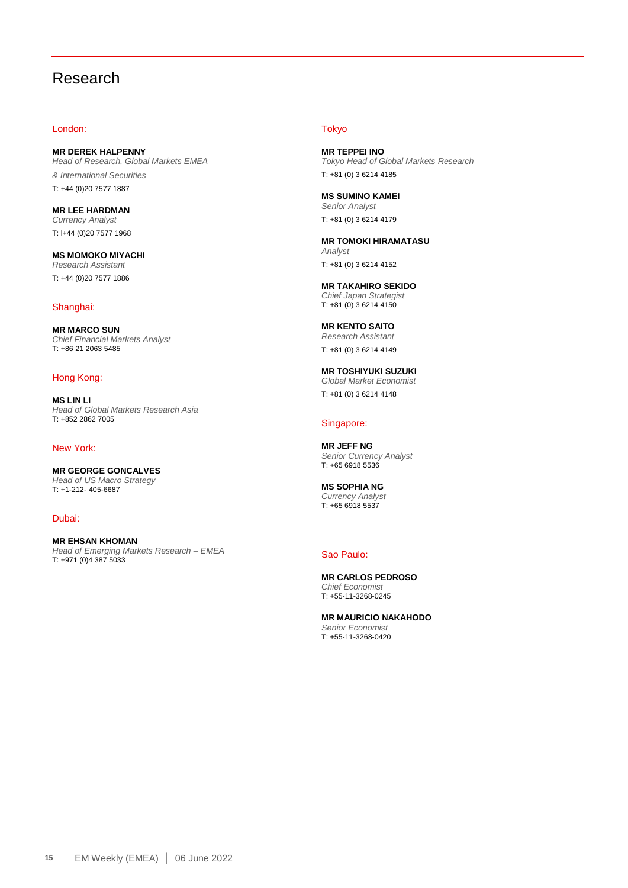### Research

#### London:

**MR DEREK HALPENNY** *Head of Research, Global Markets EMEA & International Securities* T: +44 (0)20 7577 1887

**MR LEE HARDMAN** *Currency Analyst* T: l+44 (0)20 7577 1968

**MS MOMOKO MIYACHI** *Research Assistant* T: +44 (0)20 7577 1886

#### Shanghai:

**MR MARCO SUN** *Chief Financial Markets Analyst*  T: +86 21 2063 5485

#### Hong Kong:

**MS LIN LI** *Head of Global Markets Research Asia* T: +852 2862 7005

#### New York:

**MR GEORGE GONCALVES** *Head of US Macro Strategy*  T: +1-212- 405-6687

Dubai:

**MR EHSAN KHOMAN** *Head of Emerging Markets Research – EMEA*  T: +971 (0)4 387 5033

#### Tokyo

**MR TEPPEI INO** *Tokyo Head of Global Markets Research* T: +81 (0) 3 6214 4185

**MS SUMINO KAMEI** *Senior Analyst* T: +81 (0) 3 6214 4179

**MR TOMOKI HIRAMATASU** *Analyst* T: +81 (0) 3 6214 4152

**MR TAKAHIRO SEKIDO** *Chief Japan Strategist* T: +81 (0) 3 6214 4150

**MR KENTO SAITO** *Research Assistant* T: +81 (0) 3 6214 4149

**MR TOSHIYUKI SUZUKI** *Global Market Economist* T: +81 (0) 3 6214 4148

#### Singapore:

**MR JEFF NG** *Senior Currency Analyst* T: +65 6918 5536

**MS SOPHIA NG** *Currency Analyst* T: +65 6918 5537

#### Sao Paulo:

**MR CARLOS PEDROSO** *Chief Economist* T: +55-11-3268-0245

**MR MAURICIO NAKAHODO** *Senior Economist* T: +55-11-3268-0420